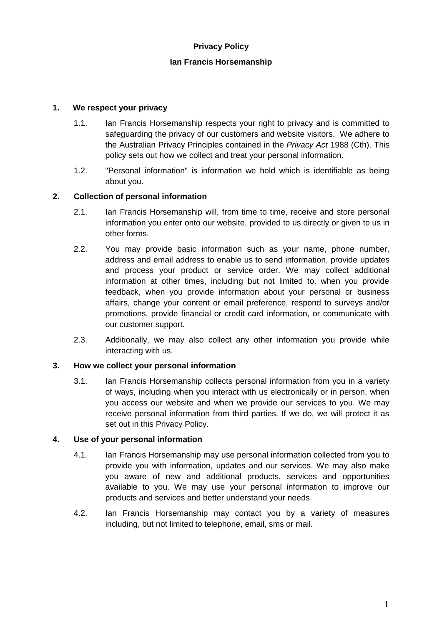# **Privacy Policy**

#### **Ian Francis Horsemanship**

### **1. We respect your privacy**

- 1.1. Ian Francis Horsemanship respects your right to privacy and is committed to safeguarding the privacy of our customers and website visitors. We adhere to the Australian Privacy Principles contained in the *Privacy Act* 1988 (Cth). This policy sets out how we collect and treat your personal information.
- 1.2. "Personal information" is information we hold which is identifiable as being about you.

### **2. Collection of personal information**

- 2.1. Ian Francis Horsemanship will, from time to time, receive and store personal information you enter onto our website, provided to us directly or given to us in other forms.
- 2.2. You may provide basic information such as your name, phone number, address and email address to enable us to send information, provide updates and process your product or service order. We may collect additional information at other times, including but not limited to, when you provide feedback, when you provide information about your personal or business affairs, change your content or email preference, respond to surveys and/or promotions, provide financial or credit card information, or communicate with our customer support.
- 2.3. Additionally, we may also collect any other information you provide while interacting with us.

#### **3. How we collect your personal information**

3.1. Ian Francis Horsemanship collects personal information from you in a variety of ways, including when you interact with us electronically or in person, when you access our website and when we provide our services to you. We may receive personal information from third parties. If we do, we will protect it as set out in this Privacy Policy.

#### **4. Use of your personal information**

- 4.1. Ian Francis Horsemanship may use personal information collected from you to provide you with information, updates and our services. We may also make you aware of new and additional products, services and opportunities available to you. We may use your personal information to improve our products and services and better understand your needs.
- 4.2. Ian Francis Horsemanship may contact you by a variety of measures including, but not limited to telephone, email, sms or mail.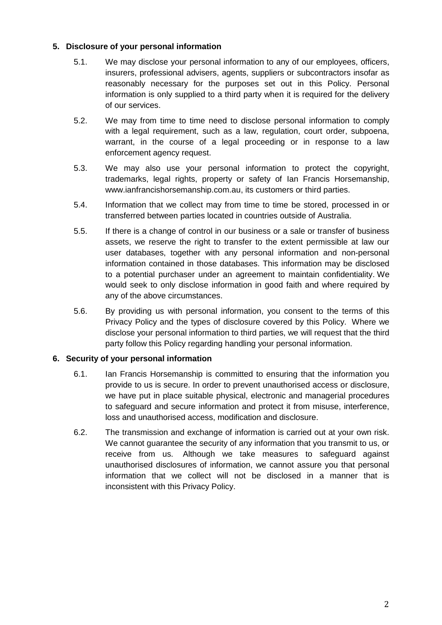# **5. Disclosure of your personal information**

- 5.1. We may disclose your personal information to any of our employees, officers, insurers, professional advisers, agents, suppliers or subcontractors insofar as reasonably necessary for the purposes set out in this Policy. Personal information is only supplied to a third party when it is required for the delivery of our services.
- 5.2. We may from time to time need to disclose personal information to comply with a legal requirement, such as a law, regulation, court order, subpoena, warrant, in the course of a legal proceeding or in response to a law enforcement agency request.
- 5.3. We may also use your personal information to protect the copyright, trademarks, legal rights, property or safety of Ian Francis Horsemanship, www.ianfrancishorsemanship.com.au, its customers or third parties.
- 5.4. Information that we collect may from time to time be stored, processed in or transferred between parties located in countries outside of Australia.
- 5.5. If there is a change of control in our business or a sale or transfer of business assets, we reserve the right to transfer to the extent permissible at law our user databases, together with any personal information and non-personal information contained in those databases. This information may be disclosed to a potential purchaser under an agreement to maintain confidentiality. We would seek to only disclose information in good faith and where required by any of the above circumstances.
- 5.6. By providing us with personal information, you consent to the terms of this Privacy Policy and the types of disclosure covered by this Policy. Where we disclose your personal information to third parties, we will request that the third party follow this Policy regarding handling your personal information.

#### **6. Security of your personal information**

- 6.1. Ian Francis Horsemanship is committed to ensuring that the information you provide to us is secure. In order to prevent unauthorised access or disclosure, we have put in place suitable physical, electronic and managerial procedures to safeguard and secure information and protect it from misuse, interference, loss and unauthorised access, modification and disclosure.
- 6.2. The transmission and exchange of information is carried out at your own risk. We cannot guarantee the security of any information that you transmit to us, or receive from us. Although we take measures to safeguard against unauthorised disclosures of information, we cannot assure you that personal information that we collect will not be disclosed in a manner that is inconsistent with this Privacy Policy.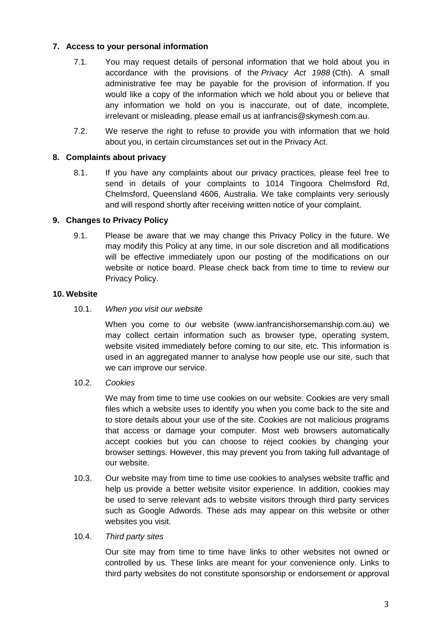# **7. Access to your personal information**

- 7.1. You may request details of personal information that we hold about you in accordance with the provisions of the *Privacy Act 1988* (Cth). A small administrative fee may be payable for the provision of information. If you would like a copy of the information which we hold about you or believe that any information we hold on you is inaccurate, out of date, incomplete, irrelevant or misleading, please email us at ianfrancis@skymesh.com.au.
- 7.2. We reserve the right to refuse to provide you with information that we hold about you, in certain circumstances set out in the Privacy Act.

#### **8. Complaints about privacy**

8.1. If you have any complaints about our privacy practices, please feel free to send in details of your complaints to 1014 Tingoora Chelmsford Rd, Chelmsford, Queensland 4606, Australia. We take complaints very seriously and will respond shortly after receiving written notice of your complaint.

#### **9. Changes to Privacy Policy**

9.1. Please be aware that we may change this Privacy Policy in the future. We may modify this Policy at any time, in our sole discretion and all modifications will be effective immediately upon our posting of the modifications on our website or notice board. Please check back from time to time to review our Privacy Policy.

#### **10. Website**

10.1. *When you visit our website*

When you come to our website (www.ianfrancishorsemanship.com.au) we may collect certain information such as browser type, operating system, website visited immediately before coming to our site, etc. This information is used in an aggregated manner to analyse how people use our site, such that we can improve our service.

10.2. *Cookies*

We may from time to time use cookies on our website. Cookies are very small files which a website uses to identify you when you come back to the site and to store details about your use of the site. Cookies are not malicious programs that access or damage your computer. Most web browsers automatically accept cookies but you can choose to reject cookies by changing your browser settings. However, this may prevent you from taking full advantage of our website.

10.3. Our website may from time to time use cookies to analyses website traffic and help us provide a better website visitor experience. In addition, cookies may be used to serve relevant ads to website visitors through third party services such as Google Adwords. These ads may appear on this website or other websites you visit.

#### 10.4. *Third party sites*

Our site may from time to time have links to other websites not owned or controlled by us. These links are meant for your convenience only. Links to third party websites do not constitute sponsorship or endorsement or approval